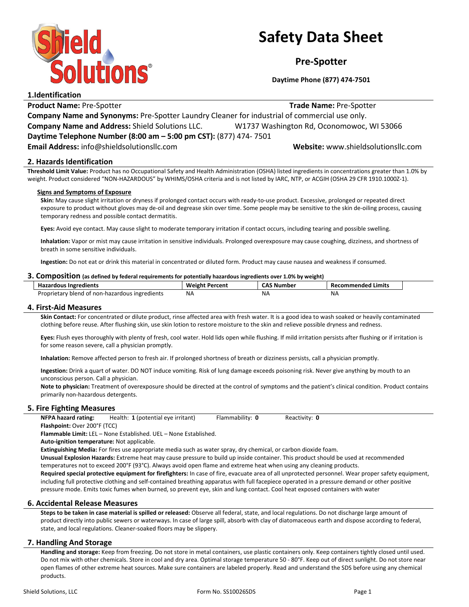

# Safety Data Sheet

Pre-Spotter

Daytime Phone (877) 474-7501

Product Name: Pre-Spotter Trade Name: Pre-Spotter Trade Name: Pre-Spotter Company Name and Synonyms: Pre-Spotter Laundry Cleaner for industrial of commercial use only. Company Name and Address: Shield Solutions LLC. W1737 Washington Rd, Oconomowoc, WI 53066 Daytime Telephone Number (8:00 am – 5:00 pm CST): (877) 474- 7501 Email Address: info@shieldsolutionsllc.com Website: www.shieldsolutionsllc.com

# 2. Hazards Identification

1.Identification

Threshold Limit Value: Product has no Occupational Safety and Health Administration (OSHA) listed ingredients in concentrations greater than 1.0% by weight. Product considered "NON-HAZARDOUS" by WHIMS/OSHA criteria and is not listed by IARC, NTP, or ACGIH (OSHA 29 CFR 1910.1000Z-1).

## Signs and Symptoms of Exposure

Skin: May cause slight irritation or dryness if prolonged contact occurs with ready-to-use product. Excessive, prolonged or repeated direct exposure to product without gloves may de-oil and degrease skin over time. Some people may be sensitive to the skin de-oiling process, causing temporary redness and possible contact dermatitis.

Eyes: Avoid eye contact. May cause slight to moderate temporary irritation if contact occurs, including tearing and possible swelling.

Inhalation: Vapor or mist may cause irritation in sensitive individuals. Prolonged overexposure may cause coughing, dizziness, and shortness of breath in some sensitive individuals.

Ingestion: Do not eat or drink this material in concentrated or diluted form. Product may cause nausea and weakness if consumed.

## 3. Composition (as defined by federal requirements for potentially hazardous ingredients over 1.0% by weight)

| <b>Hazardous Ingredients</b>                   | Weight<br>ht Percent | Number<br>ີ | Recommended Limits |
|------------------------------------------------|----------------------|-------------|--------------------|
| Proprietary blend of non-hazardous ingredients | NA.                  | -NA         | <b>NA</b>          |

#### 4. First-Aid Measures

Skin Contact: For concentrated or dilute product, rinse affected area with fresh water. It is a good idea to wash soaked or heavily contaminated clothing before reuse. After flushing skin, use skin lotion to restore moisture to the skin and relieve possible dryness and redness.

Eyes: Flush eyes thoroughly with plenty of fresh, cool water. Hold lids open while flushing. If mild irritation persists after flushing or if irritation is for some reason severe, call a physician promptly.

Inhalation: Remove affected person to fresh air. If prolonged shortness of breath or dizziness persists, call a physician promptly.

Ingestion: Drink a quart of water. DO NOT induce vomiting. Risk of lung damage exceeds poisoning risk. Never give anything by mouth to an unconscious person. Call a physician.

Note to physician: Treatment of overexposure should be directed at the control of symptoms and the patient's clinical condition. Product contains primarily non-hazardous detergents.

## 5. Fire Fighting Measures

NFPA hazard rating: Health: 1 (potential eye irritant) Flammability: 0 Reactivity: 0 Flashpoint: Over 200°F (TCC)

Flammable Limit: LEL – None Established. UEL – None Established.

Auto-ignition temperature: Not applicable.

Extinguishing Media: For fires use appropriate media such as water spray, dry chemical, or carbon dioxide foam.

Unusual Explosion Hazards: Extreme heat may cause pressure to build up inside container. This product should be used at recommended temperatures not to exceed 200°F (93°C). Always avoid open flame and extreme heat when using any cleaning products.

Required special protective equipment for firefighters: In case of fire, evacuate area of all unprotected personnel. Wear proper safety equipment, including full protective clothing and self-contained breathing apparatus with full facepiece operated in a pressure demand or other positive pressure mode. Emits toxic fumes when burned, so prevent eye, skin and lung contact. Cool heat exposed containers with water

## 6. Accidental Release Measures

Steps to be taken in case material is spilled or released: Observe all federal, state, and local regulations. Do not discharge large amount of product directly into public sewers or waterways. In case of large spill, absorb with clay of diatomaceous earth and dispose according to federal, state, and local regulations. Cleaner-soaked floors may be slippery.

## 7. Handling And Storage

Handling and storage: Keep from freezing. Do not store in metal containers, use plastic containers only. Keep containers tightly closed until used. Do not mix with other chemicals. Store in cool and dry area. Optimal storage temperature 50 - 80°F. Keep out of direct sunlight. Do not store near open flames of other extreme heat sources. Make sure containers are labeled properly. Read and understand the SDS before using any chemical products.